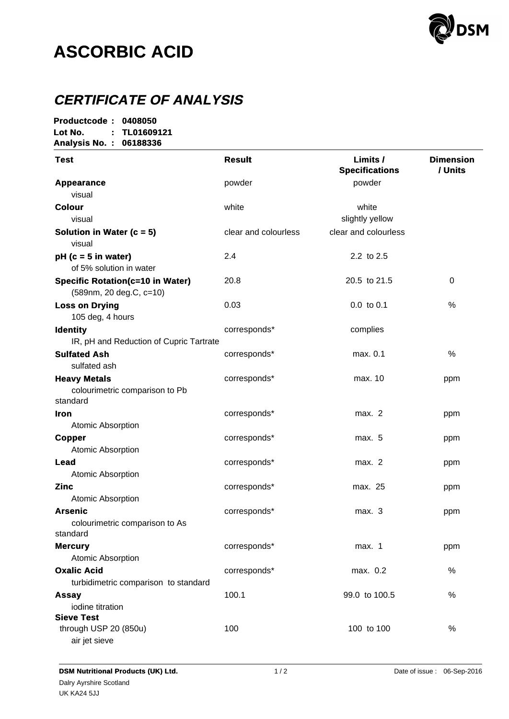

# **ASCORBIC ACID**

## **CERTIFICATE OF ANALYSIS**

| Productcode:<br>0408050                                            |                      |                                   |                             |  |
|--------------------------------------------------------------------|----------------------|-----------------------------------|-----------------------------|--|
| Lot No.<br>TL01609121                                              |                      |                                   |                             |  |
| Analysis No.: 06188336                                             |                      |                                   |                             |  |
| <b>Test</b>                                                        | <b>Result</b>        | Limits /<br><b>Specifications</b> | <b>Dimension</b><br>/ Units |  |
| <b>Appearance</b>                                                  | powder               | powder                            |                             |  |
| visual                                                             |                      |                                   |                             |  |
| <b>Colour</b>                                                      | white                | white                             |                             |  |
| visual                                                             |                      | slightly yellow                   |                             |  |
| Solution in Water ( $c = 5$ )<br>visual                            | clear and colourless | clear and colourless              |                             |  |
| $pH$ (c = 5 in water)<br>of 5% solution in water                   | 2.4                  | 2.2 to 2.5                        |                             |  |
| <b>Specific Rotation(c=10 in Water)</b><br>(589nm, 20 deg.C, c=10) | 20.8                 | 20.5 to 21.5                      | 0                           |  |
| <b>Loss on Drying</b><br>105 deg, 4 hours                          | 0.03                 | $0.0$ to $0.1$                    | $\%$                        |  |
| <b>Identity</b><br>IR, pH and Reduction of Cupric Tartrate         | corresponds*         | complies                          |                             |  |
| <b>Sulfated Ash</b><br>sulfated ash                                | corresponds*         | max. 0.1                          | $\%$                        |  |
| <b>Heavy Metals</b><br>colourimetric comparison to Pb<br>standard  | corresponds*         | max. 10                           | ppm                         |  |
| <b>Iron</b>                                                        | corresponds*         | max. 2                            | ppm                         |  |
| <b>Atomic Absorption</b>                                           |                      |                                   |                             |  |
| <b>Copper</b><br><b>Atomic Absorption</b>                          | corresponds*         | max. 5                            | ppm                         |  |
| Lead<br><b>Atomic Absorption</b>                                   | corresponds*         | max. 2                            | ppm                         |  |
| <b>Zinc</b><br>Atomic Absorption                                   | corresponds*         | max. 25                           | ppm                         |  |
| <b>Arsenic</b><br>colourimetric comparison to As                   | corresponds*         | max. 3                            | ppm                         |  |
| standard                                                           |                      |                                   |                             |  |
| <b>Mercury</b><br>Atomic Absorption                                | corresponds*         | max. 1                            | ppm                         |  |
| <b>Oxalic Acid</b><br>turbidimetric comparison to standard         | corresponds*         | max. 0.2                          | $\%$                        |  |
| <b>Assay</b><br>iodine titration                                   | 100.1                | 99.0 to 100.5                     | $\%$                        |  |
| <b>Sieve Test</b><br>through USP 20 (850u)<br>air jet sieve        | 100                  | 100 to 100                        | $\%$                        |  |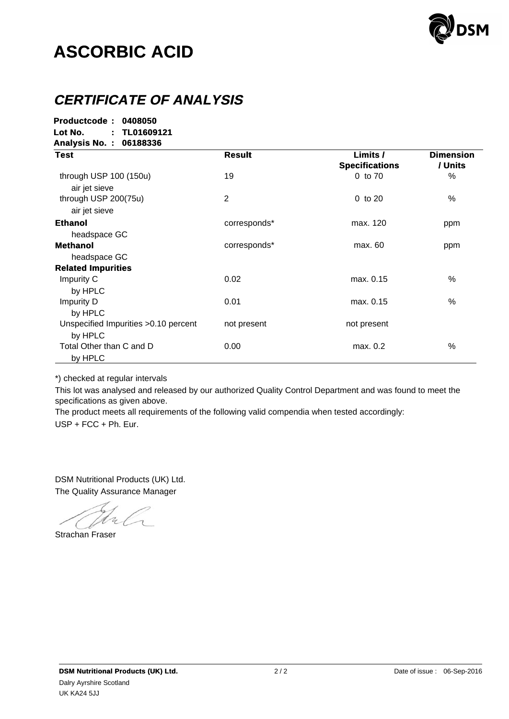

# **ASCORBIC ACID**

### **CERTIFICATE OF ANALYSIS**

**Productcode : Productcode : 0408050 Lot No. : No. : TL01609121 TL01609121 Analysis No. : 06188336 :**

| <b>Test</b>                                      | <b>Result</b> | Limits /<br><b>Specifications</b> | <b>Dimension</b><br>/ Units |
|--------------------------------------------------|---------------|-----------------------------------|-----------------------------|
| through USP 100 (150u)<br>air jet sieve          | 19            | 0 to 70                           | $\%$                        |
| through USP 200(75u)<br>air jet sieve            | 2             | $0$ to $20$                       | %                           |
| <b>Ethanol</b><br>headspace GC                   | corresponds*  | max. 120                          | ppm                         |
| <b>Methanol</b>                                  | corresponds*  | max. 60                           | ppm                         |
| headspace GC<br><b>Related Impurities</b>        |               |                                   |                             |
| Impurity C<br>by HPLC                            | 0.02          | max. 0.15                         | %                           |
| Impurity D<br>by HPLC                            | 0.01          | max. 0.15                         | %                           |
| Unspecified Impurities > 0.10 percent<br>by HPLC | not present   | not present                       |                             |
| Total Other than C and D<br>by HPLC              | 0.00          | max. 0.2                          | %                           |

\*) checked at regular intervals

This lot was analysed and released by our authorized Quality Control Department and was found to meet the specifications as given above.

USP + FCC + Ph. Eur. The product meets all requirements of the following valid compendia when tested accordingly:

The Quality Assurance Manager DSM Nutritional Products (UK) Ltd.

Strachan Fraser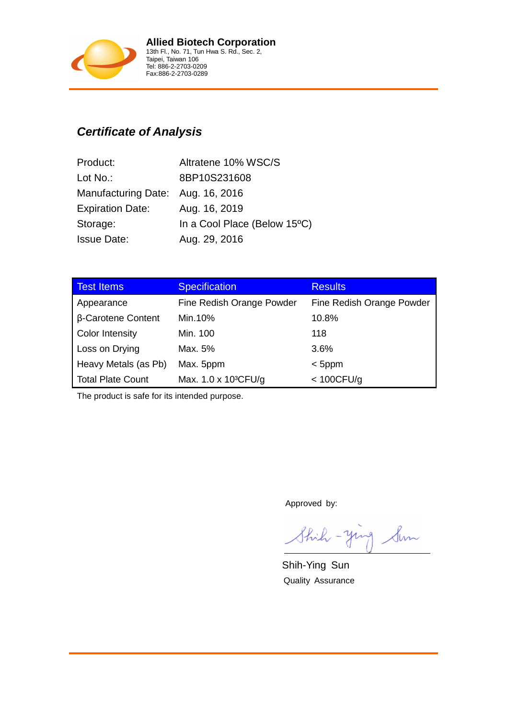

#### **Certificate of Analysis**

| Product:                          | Altratene 10% WSC/S          |
|-----------------------------------|------------------------------|
| Lot $No.$ :                       | 8BP10S231608                 |
| Manufacturing Date: Aug. 16, 2016 |                              |
| <b>Expiration Date:</b>           | Aug. 16, 2019                |
| Storage:                          | In a Cool Place (Below 15°C) |
| <b>Issue Date:</b>                | Aug. 29, 2016                |

| <b>Test Items</b>         | <b>Specification</b>             | <b>Results</b>            |
|---------------------------|----------------------------------|---------------------------|
| Appearance                | Fine Redish Orange Powder        | Fine Redish Orange Powder |
| <b>B-Carotene Content</b> | Min.10%                          | 10.8%                     |
| <b>Color Intensity</b>    | Min. 100                         | 118                       |
| Loss on Drying            | Max. 5%                          | 3.6%                      |
| Heavy Metals (as Pb)      | Max. 5ppm                        | $<$ 5ppm                  |
| <b>Total Plate Count</b>  | Max. 1.0 x 10 <sup>3</sup> CFU/g | < 100 CFU/g               |

The product is safe for its intended purpose.

Approved by:

Shih - ying Sun

Shih-Ying Sun Quality Assurance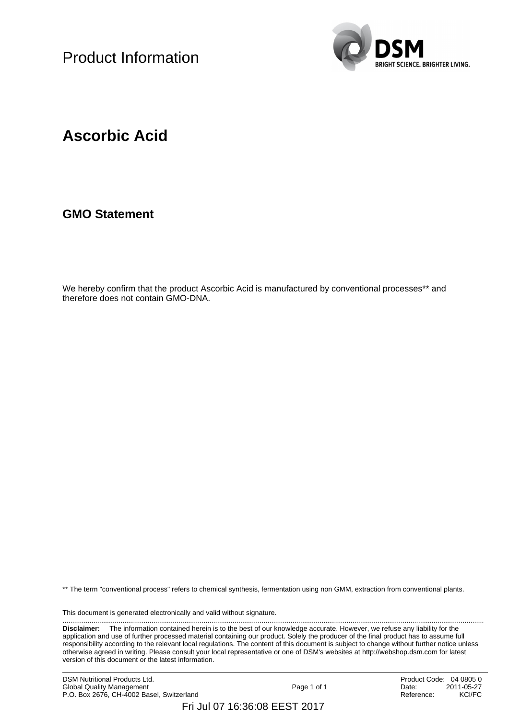Product Information



### **Ascorbic Acid**

**GMO Statement**

We hereby confirm that the product Ascorbic Acid is manufactured by conventional processes\*\* and therefore does not contain GMO-DNA.

\*\* The term "conventional process" refers to chemical synthesis, fermentation using non GMM, extraction from conventional plants.

This document is generated electronically and valid without signature. ..........................................................................................................................................................................................................................

**Disclaimer:** The information contained herein is to the best of our knowledge accurate. However, we refuse any liability for the application and use of further processed material containing our product. Solely the producer of the final product has to assume full responsibility according to the relevant local regulations. The content of this document is subject to change without further notice unless otherwise agreed in writing. Please consult your local representative or one of DSM's websites at http://webshop.dsm.com for latest version of this document or the latest information.